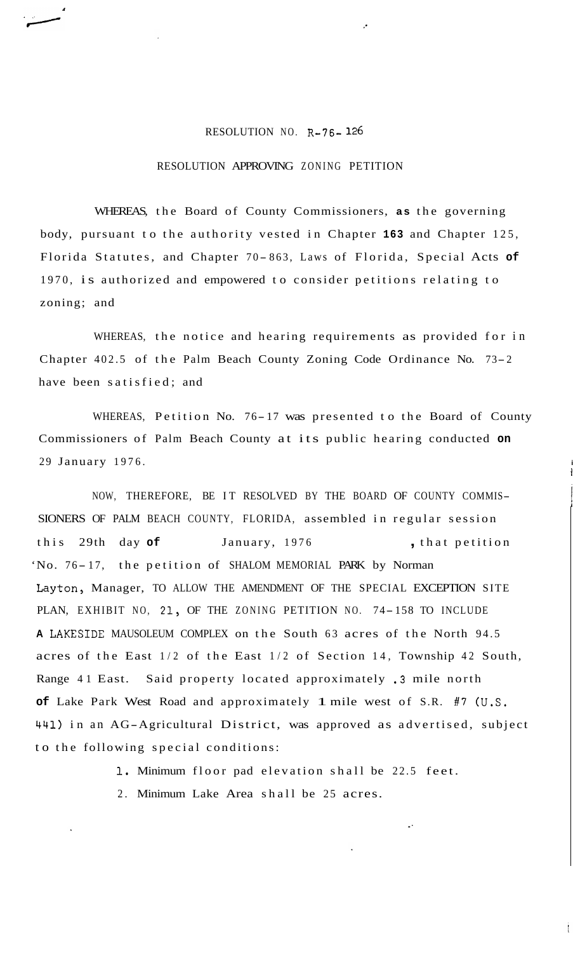## RESOLUTION NO. **R-76- 126**

## RESOLUTION APPROVING ZONING PETITION

WHEREAS, the Board of County Commissioners, **as** the governing body, pursuant to the authority vested in Chapter **163** and Chapter 125, Florida Statutes, and Chapter 70-863, Laws of Florida, Special Acts of 1970, is authorized and empowered to consider petitions relating to zoning; and

WHEREAS, the notice and hearing requirements as provided for in Chapter 402.5 of the Palm Beach County Zoning Code Ordinance No. 73-2 have been satisfied; and

WHEREAS, Petition No. 76-17 was presented to the Board of County Commissioners of Palm Beach County at its public hearing conducted **on**  29 January 1976. **<sup>i</sup>**

**1** 

NOW, THEREFORE, BE IT RESOLVED BY THE BOARD OF COUNTY COMMIS-SIONERS OF PALM BEACH COUNTY, FLORIDA, assembled in regular session this 29th day of **January, 1976**, that petition 'No. 76-17, the petition of SHALOM MEMORIAL PARK by Norman Layton, Manager, TO ALLOW THE AMENDMENT OF THE SPECIAL EXCEPTION SITE PLAN, EXHIBIT NO, 21, OF THE ZONING PETITION NO. 74-158 TO INCLUDE **<sup>A</sup>**LAKESIDE MAUSOLEUM COMPLEX on the South 63 acres of the North 94.5 acres of the East 1/2 of the East 1/2 of Section 14, Township 42 South, Range 41 East. Said property located approximately .3 mile north **of** Lake Park West Road and approximately 1 mile west of S.R. #7 (U.S. **441)** in an AG-Agricultural District, was approved as advertised, subject to the following special conditions:

**1.** Minimum floor pad elevation shall be 22.5 feet.

2. Minimum Lake Area shall be 25 acres.